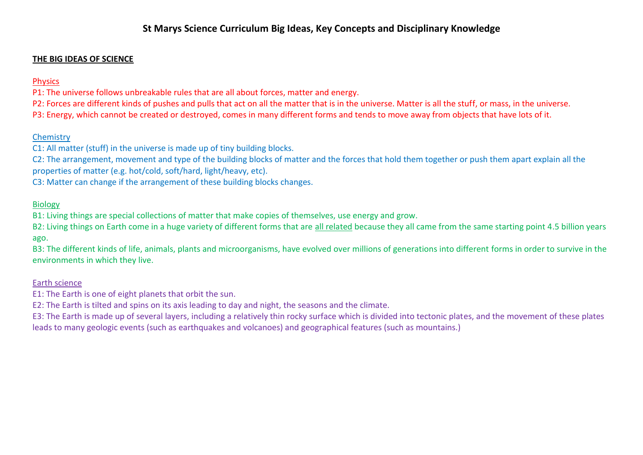## **THE BIG IDEAS OF SCIENCE**

# Physics

P1: The universe follows unbreakable rules that are all about forces, matter and energy.

P2: Forces are different kinds of pushes and pulls that act on all the matter that is in the universe. Matter is all the stuff, or mass, in the universe. P3: Energy, which cannot be created or destroyed, comes in many different forms and tends to move away from objects that have lots of it.

# **Chemistry**

C1: All matter (stuff) in the universe is made up of tiny building blocks.

C2: The arrangement, movement and type of the building blocks of matter and the forces that hold them together or push them apart explain all the properties of matter (e.g. hot/cold, soft/hard, light/heavy, etc).

C3: Matter can change if the arrangement of these building blocks changes.

## Biology

B1: Living things are special collections of matter that make copies of themselves, use energy and grow.

B2: Living things on Earth come in a huge variety of different forms that are all related because they all came from the same starting point 4.5 billion years ago.

B3: The different kinds of life, animals, plants and microorganisms, have evolved over millions of generations into different forms in order to survive in the environments in which they live.

### Earth science

E1: The Earth is one of eight planets that orbit the sun.

E2: The Earth is tilted and spins on its axis leading to day and night, the seasons and the climate.

E3: The Earth is made up of several layers, including a relatively thin rocky surface which is divided into tectonic plates, and the movement of these plates leads to many geologic events (such as earthquakes and volcanoes) and geographical features (such as mountains.)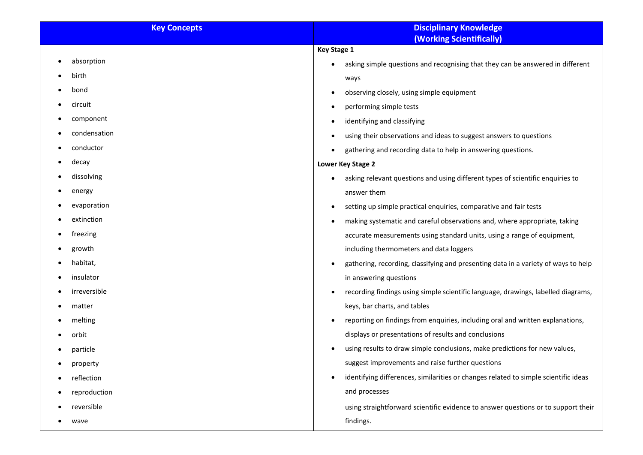| <b>Key Concepts</b> | <b>Disciplinary Knowledge</b>                                                               |
|---------------------|---------------------------------------------------------------------------------------------|
|                     | <b>(Working Scientifically)</b>                                                             |
|                     | <b>Key Stage 1</b>                                                                          |
| absorption          | asking simple questions and recognising that they can be answered in different<br>$\bullet$ |
| birth               | ways                                                                                        |
| bond                | observing closely, using simple equipment<br>$\bullet$                                      |
| circuit             | performing simple tests<br>$\bullet$                                                        |
| component           | identifying and classifying                                                                 |
| condensation        | using their observations and ideas to suggest answers to questions<br>$\bullet$             |
| conductor           | gathering and recording data to help in answering questions.                                |
| decay               | Lower Key Stage 2                                                                           |
| dissolving          | asking relevant questions and using different types of scientific enquiries to              |
| energy              | answer them                                                                                 |
| evaporation         | setting up simple practical enquiries, comparative and fair tests<br>$\bullet$              |
| extinction          | making systematic and careful observations and, where appropriate, taking                   |
| freezing            | accurate measurements using standard units, using a range of equipment,                     |
| growth              | including thermometers and data loggers                                                     |
| habitat,            | gathering, recording, classifying and presenting data in a variety of ways to help          |
| insulator           | in answering questions                                                                      |
| irreversible        | recording findings using simple scientific language, drawings, labelled diagrams,           |
| matter              | keys, bar charts, and tables                                                                |
| melting             | reporting on findings from enquiries, including oral and written explanations,              |
| orbit               | displays or presentations of results and conclusions                                        |
| particle            | using results to draw simple conclusions, make predictions for new values,                  |
| property            | suggest improvements and raise further questions                                            |
| reflection          | identifying differences, similarities or changes related to simple scientific ideas         |
| reproduction        | and processes                                                                               |
| reversible          | using straightforward scientific evidence to answer questions or to support their           |
| wave                | findings.                                                                                   |